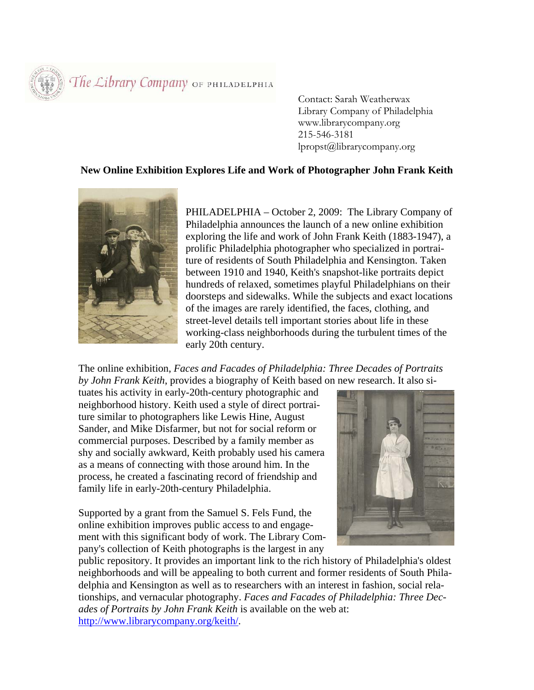The Library Company OF PHILADELPHIA

 Contact: Sarah Weatherwax Library Company of Philadelphia www.librarycompany.org 215-546-3181 lpropst@librarycompany.org

## **New Online Exhibition Explores Life and Work of Photographer John Frank Keith**



PHILADELPHIA – October 2, 2009: The Library Company of Philadelphia announces the launch of a new online exhibition exploring the life and work of John Frank Keith (1883-1947), a prolific Philadelphia photographer who specialized in portraiture of residents of South Philadelphia and Kensington. Taken between 1910 and 1940, Keith's snapshot-like portraits depict hundreds of relaxed, sometimes playful Philadelphians on their doorsteps and sidewalks. While the subjects and exact locations of the images are rarely identified, the faces, clothing, and street-level details tell important stories about life in these working-class neighborhoods during the turbulent times of the early 20th century.

The online exhibition, *Faces and Facades of Philadelphia: Three Decades of Portraits by John Frank Keith*, provides a biography of Keith based on new research. It also si-

tuates his activity in early-20th-century photographic and neighborhood history. Keith used a style of direct portraiture similar to photographers like Lewis Hine, August Sander, and Mike Disfarmer, but not for social reform or commercial purposes. Described by a family member as shy and socially awkward, Keith probably used his camera as a means of connecting with those around him. In the process, he created a fascinating record of friendship and family life in early-20th-century Philadelphia.

Supported by a grant from the Samuel S. Fels Fund, the online exhibition improves public access to and engagement with this significant body of work. The Library Company's collection of Keith photographs is the largest in any



public repository. It provides an important link to the rich history of Philadelphia's oldest neighborhoods and will be appealing to both current and former residents of South Philadelphia and Kensington as well as to researchers with an interest in fashion, social relationships, and vernacular photography. *Faces and Facades of Philadelphia: Three Decades of Portraits by John Frank Keith* is available on the web at: http://www.librarycompany.org/keith/.